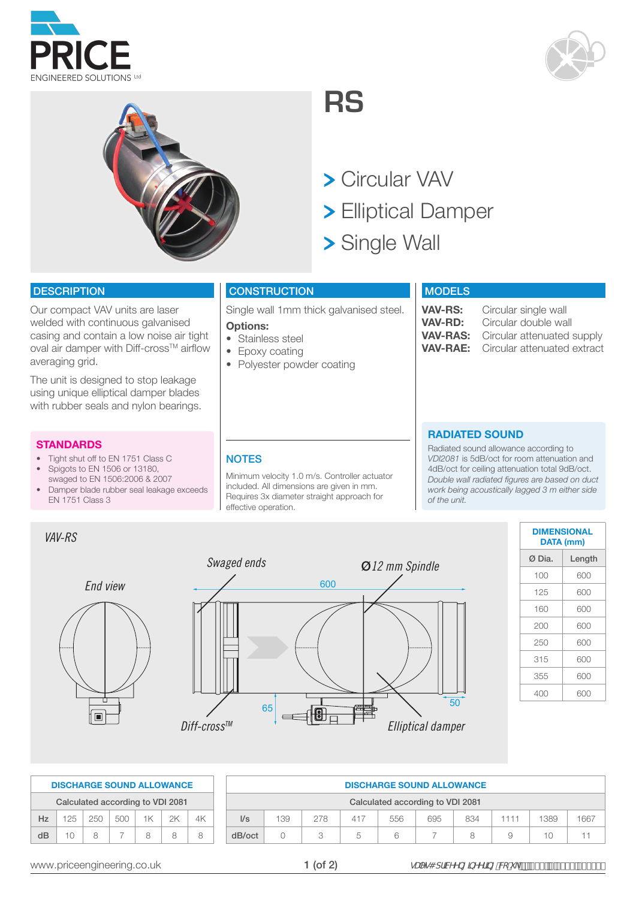





**RS**

> Circular VAV

- Elliptical Damper
- > Single Wall

### **DESCRIPTION**

Our compact VAV units are laser welded with continuous galvanised casing and contain a low noise air tight oval air damper with Diff-cross™ airflow averaging grid.

The unit is designed to stop leakage using unique elliptical damper blades with rubber seals and nylon bearings.

#### **STANDARDS**

*VAV-RS*

- Tight shut off to EN 1751 Class C
- Spigots to EN 1506 or 13180, swaged to EN 1506:2006 & 2007
- Damper blade rubber seal leakage exceeds EN 1751 Class 3

# **CONSTRUCTION**

Single wall 1mm thick galvanised steel.

#### **Options:**

- Stainless steel
- Epoxy coating
- Polyester powder coating

## **MODELS**

**VAV-RS:** Circular single wall<br>**VAV-RD:** Circular double wa **VAV-RD:** Circular double wall **VAV-RAS:** Circular attenuated supply<br>**VAV-RAE:** Circular attenuated extract Circular attenuated extract

# **RADIATED SOUND**

Radiated sound allowance according to *VDI2081* is 5dB/oct for room attenuation and 4dB/oct for ceiling attenuation total 9dB/oct. *Double wall radiated figures are based on duct work being acoustically lagged 3 m either side of the unit.*



| <b>DATA (mm)</b> | <b>DIMENSIONAL</b> |
|------------------|--------------------|
| Ø Dia.           | Length             |
| 100              | 600                |
| 125              | 600                |
| 160              | 600                |
| 200              | 600                |
| 250              | 600                |
| 315              | 600                |
| 355              | 600                |
| 400              | 600                |

|                                  |    |               |       | <b>DISCHARGE SOUND ALLOWANCE</b> |      |  |  |  |  |  |  |
|----------------------------------|----|---------------|-------|----------------------------------|------|--|--|--|--|--|--|
| Calculated according to VDI 2081 |    |               |       |                                  |      |  |  |  |  |  |  |
| Hz                               |    | $125 \pm 250$ | 1.500 | 1K -                             | - 2K |  |  |  |  |  |  |
| dB                               | 10 | я             |       | я                                |      |  |  |  |  |  |  |

|                                    |     |     |     | <b>DISCHARGE SOUND ALLOWANCE</b> |     |     |      |      |      |  |  |  |
|------------------------------------|-----|-----|-----|----------------------------------|-----|-----|------|------|------|--|--|--|
| Calculated according to VDI 2081   |     |     |     |                                  |     |     |      |      |      |  |  |  |
| $\mathsf{I/s}$                     | 139 | 278 | 417 | 556                              | 695 | 834 | 1111 | 1389 | 1667 |  |  |  |
| dB/oct<br>10<br>Я<br>9<br>$\Delta$ |     |     |     |                                  |     |     |      |      |      |  |  |  |

www.priceengineering.co.uk  $\blacksquare$   $\blacksquare$   $\blacksquare$   $\blacksquare$   $\blacksquare$   $\blacksquare$   $\blacksquare$   $\blacksquare$   $\blacksquare$   $\blacksquare$   $\blacksquare$   $\blacksquare$   $\blacksquare$   $\blacksquare$   $\blacksquare$   $\blacksquare$   $\blacksquare$   $\blacksquare$   $\blacksquare$   $\blacksquare$   $\blacksquare$   $\blacksquare$   $\blacksquare$   $\blacksquare$   $\blacksquare$   $\blacksquare$   $\blacksquare$   $\blacksquare$ 

#### **NOTES**

Minimum velocity 1.0 m/s. Controller actuator included. All dimensions are given in mm. Requires 3x diameter straight approach for effective operation.